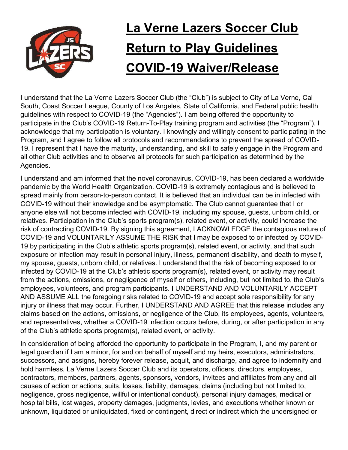

## La Verne Lazers Soccer Club **Return to Play Guidelines** COVID-19 Waiver/Release

I understand that the La Verne Lazers Soccer Club (the "Club") is subject to City of La Verne, Cal South, Coast Soccer League, County of Los Angeles, State of California, and Federal public health guidelines with respect to COVID-19 (the "Agencies"). I am being offered the opportunity to participate in the Club's COVID-19 Return-To-Play training program and activities (the "Program"). I acknowledge that my participation is voluntary. I knowingly and willingly consent to participating in the Program, and I agree to follow all protocols and recommendations to prevent the spread of COVID-19. I represent that I have the maturity, understanding, and skill to safely engage in the Program and all other Club activities and to observe all protocols for such participation as determined by the Agencies.

I understand and am informed that the novel coronavirus, COVID-19, has been declared a worldwide pandemic by the World Health Organization. COVID-19 is extremely contagious and is believed to spread mainly from person-to-person contact. It is believed that an individual can be in infected with COVID-19 without their knowledge and be asymptomatic. The Club cannot guarantee that I or anyone else will not become infected with COVID-19, including my spouse, guests, unborn child, or relatives. Participation in the Club's sports program(s), related event, or activity, could increase the risk of contracting COVID-19. By signing this agreement, I ACKNOWLEDGE the contagious nature of COVID-19 and VOLUNTARILY ASSUME THE RISK that I may be exposed to or infected by COVID-19 by participating in the Club's athletic sports program(s), related event, or activity, and that such exposure or infection may result in personal injury, illness, permanent disability, and death to myself, my spouse, guests, unborn child, or relatives. I understand that the risk of becoming exposed to or infected by COVID-19 at the Club's athletic sports program(s), related event, or activity may result from the actions, omissions, or negligence of myself or others, including, but not limited to, the Club's employees, volunteers, and program participants. I UNDERSTAND AND VOLUNTARILY ACCEPT AND ASSUME ALL the foregoing risks related to COVID-19 and accept sole responsibility for any injury or illness that may occur. Further, I UNDERSTAND AND AGREE that this release includes any claims based on the actions, omissions, or negligence of the Club, its employees, agents, volunteers, and representatives, whether a COVID-19 infection occurs before, during, or after participation in any of the Club's athletic sports program(s), related event, or activity.

In consideration of being afforded the opportunity to participate in the Program, I, and my parent or legal guardian if I am a minor, for and on behalf of myself and my heirs, executors, administrators, successors, and assigns, hereby forever release, acquit, and discharge, and agree to indemnify and hold harmless, La Verne Lazers Soccer Club and its operators, officers, directors, employees, contractors, members, partners, agents, sponsors, vendors, invitees and affiliates from any and all causes of action or actions, suits, losses, liability, damages, claims (including but not limited to, negligence, gross negligence, willful or intentional conduct), personal injury damages, medical or hospital bills, lost wages, property damages, judgments, levies, and executions whether known or unknown, liquidated or unliquidated, fixed or contingent, direct or indirect which the undersigned or